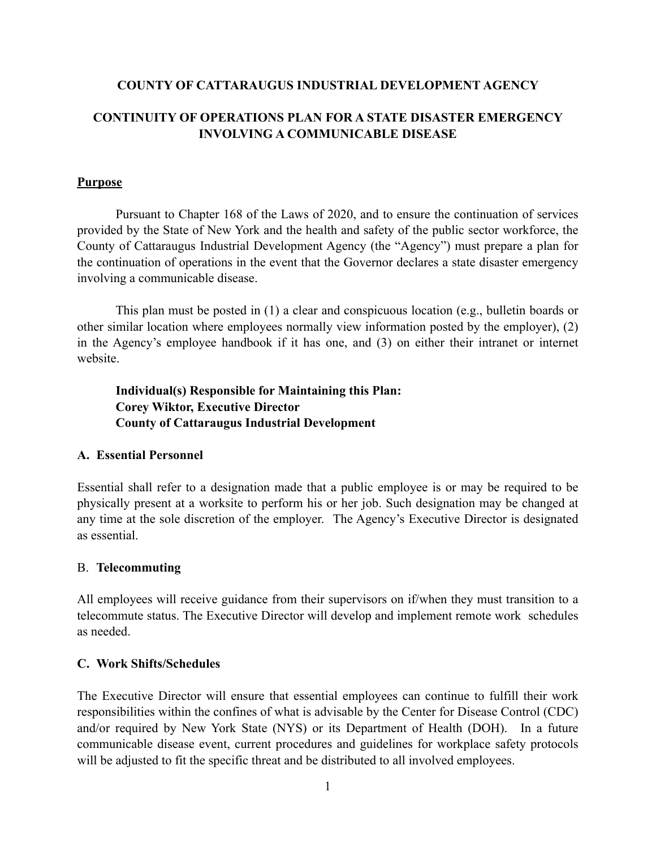### **COUNTY OF CATTARAUGUS INDUSTRIAL DEVELOPMENT AGENCY**

# **CONTINUITY OF OPERATIONS PLAN FOR A STATE DISASTER EMERGENCY INVOLVING A COMMUNICABLE DISEASE**

#### **Purpose**

Pursuant to Chapter 168 of the Laws of 2020, and to ensure the continuation of services provided by the State of New York and the health and safety of the public sector workforce, the County of Cattaraugus Industrial Development Agency (the "Agency") must prepare a plan for the continuation of operations in the event that the Governor declares a state disaster emergency involving a communicable disease.

This plan must be posted in (1) a clear and conspicuous location (e.g., bulletin boards or other similar location where employees normally view information posted by the employer), (2) in the Agency's employee handbook if it has one, and (3) on either their intranet or internet website.

**Individual(s) Responsible for Maintaining this Plan: Corey Wiktor, Executive Director County of Cattaraugus Industrial Development**

#### **A. Essential Personnel**

Essential shall refer to a designation made that a public employee is or may be required to be physically present at a worksite to perform his or her job. Such designation may be changed at any time at the sole discretion of the employer. The Agency's Executive Director is designated as essential.

#### B. **Telecommuting**

All employees will receive guidance from their supervisors on if/when they must transition to a telecommute status. The Executive Director will develop and implement remote work schedules as needed.

#### **C. Work Shifts/Schedules**

The Executive Director will ensure that essential employees can continue to fulfill their work responsibilities within the confines of what is advisable by the Center for Disease Control (CDC) and/or required by New York State (NYS) or its Department of Health (DOH). In a future communicable disease event, current procedures and guidelines for workplace safety protocols will be adjusted to fit the specific threat and be distributed to all involved employees.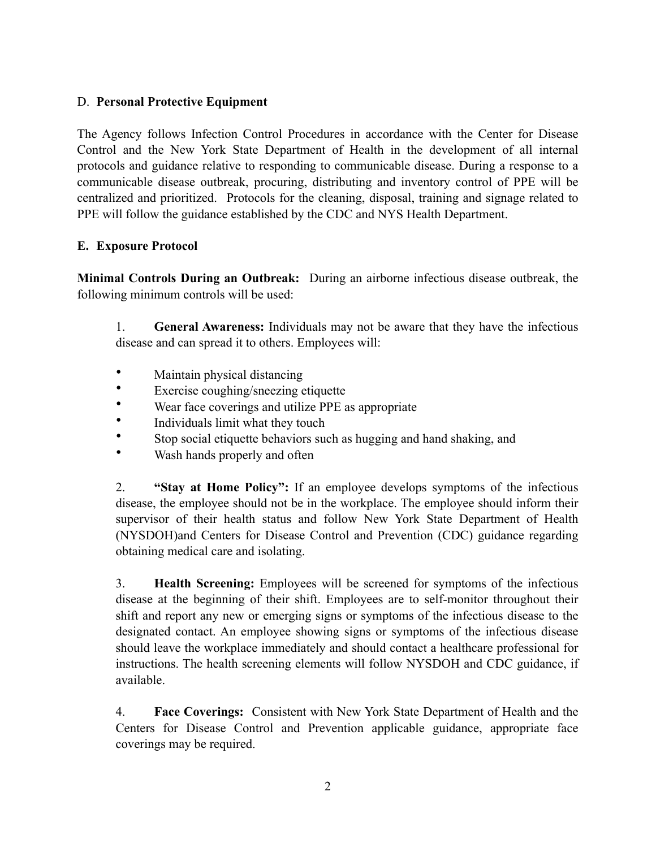# D. **Personal Protective Equipment**

The Agency follows Infection Control Procedures in accordance with the Center for Disease Control and the New York State Department of Health in the development of all internal protocols and guidance relative to responding to communicable disease. During a response to a communicable disease outbreak, procuring, distributing and inventory control of PPE will be centralized and prioritized. Protocols for the cleaning, disposal, training and signage related to PPE will follow the guidance established by the CDC and NYS Health Department.

## **E. Exposure Protocol**

**Minimal Controls During an Outbreak:** During an airborne infectious disease outbreak, the following minimum controls will be used:

1. **General Awareness:** Individuals may not be aware that they have the infectious disease and can spread it to others. Employees will:

- Maintain physical distancing
- Exercise coughing/sneezing etiquette
- Wear face coverings and utilize PPE as appropriate
- Individuals limit what they touch
- Stop social etiquette behaviors such as hugging and hand shaking, and
- Wash hands properly and often

2. **"Stay at Home Policy":** If an employee develops symptoms of the infectious disease, the employee should not be in the workplace. The employee should inform their supervisor of their health status and follow New York State Department of Health (NYSDOH)and Centers for Disease Control and Prevention (CDC) guidance regarding obtaining medical care and isolating.

3. **Health Screening:** Employees will be screened for symptoms of the infectious disease at the beginning of their shift. Employees are to self-monitor throughout their shift and report any new or emerging signs or symptoms of the infectious disease to the designated contact. An employee showing signs or symptoms of the infectious disease should leave the workplace immediately and should contact a healthcare professional for instructions. The health screening elements will follow NYSDOH and CDC guidance, if available.

4. **Face Coverings:** Consistent with New York State Department of Health and the Centers for Disease Control and Prevention applicable guidance, appropriate face coverings may be required.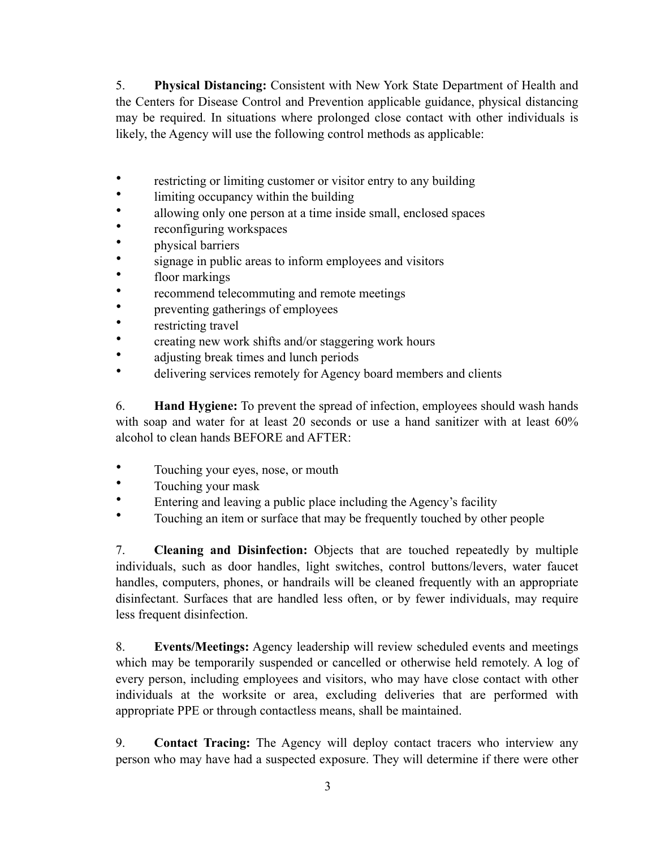5. **Physical Distancing:** Consistent with New York State Department of Health and the Centers for Disease Control and Prevention applicable guidance, physical distancing may be required. In situations where prolonged close contact with other individuals is likely, the Agency will use the following control methods as applicable:

- restricting or limiting customer or visitor entry to any building
- limiting occupancy within the building
- allowing only one person at a time inside small, enclosed spaces
- reconfiguring workspaces
- physical barriers
- signage in public areas to inform employees and visitors
- floor markings
- recommend telecommuting and remote meetings
- preventing gatherings of employees
- restricting travel
- creating new work shifts and/or staggering work hours
- adjusting break times and lunch periods
- delivering services remotely for Agency board members and clients

6. **Hand Hygiene:** To prevent the spread of infection, employees should wash hands with soap and water for at least 20 seconds or use a hand sanitizer with at least  $60\%$ alcohol to clean hands BEFORE and AFTER:

- Touching your eyes, nose, or mouth
- Touching your mask
- Entering and leaving a public place including the Agency's facility
- Touching an item or surface that may be frequently touched by other people

7. **Cleaning and Disinfection:** Objects that are touched repeatedly by multiple individuals, such as door handles, light switches, control buttons/levers, water faucet handles, computers, phones, or handrails will be cleaned frequently with an appropriate disinfectant. Surfaces that are handled less often, or by fewer individuals, may require less frequent disinfection.

8. **Events/Meetings:** Agency leadership will review scheduled events and meetings which may be temporarily suspended or cancelled or otherwise held remotely. A log of every person, including employees and visitors, who may have close contact with other individuals at the worksite or area, excluding deliveries that are performed with appropriate PPE or through contactless means, shall be maintained.

9. **Contact Tracing:** The Agency will deploy contact tracers who interview any person who may have had a suspected exposure. They will determine if there were other